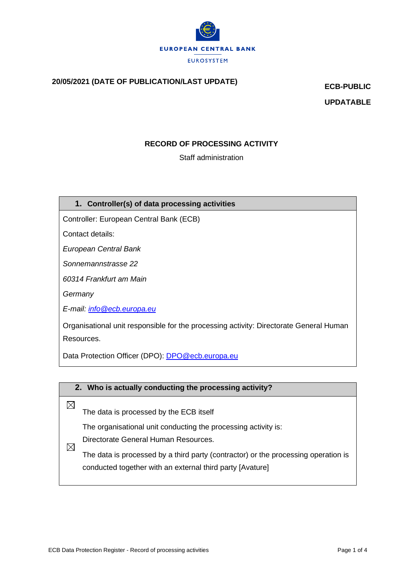

# **20/05/2021 (DATE OF PUBLICATION/LAST UPDATE) ECB-PUBLIC**

**UPDATABLE**

## **RECORD OF PROCESSING ACTIVITY**

Staff administration

## **1. Controller(s) of data processing activities**

Controller: European Central Bank (ECB)

Contact details:

*European Central Bank*

*Sonnemannstrasse 22*

*60314 Frankfurt am Main*

*Germany*

*E-mail: [info@ecb.europa.eu](mailto:info@ecb.europa.eu)*

Organisational unit responsible for the processing activity: Directorate General Human Resources.

Data Protection Officer (DPO): [DPO@ecb.europa.eu](mailto:DPO@ecb.europa.eu)



The data is processed by a third party (contractor) or the processing operation is conducted together with an external third party [Avature]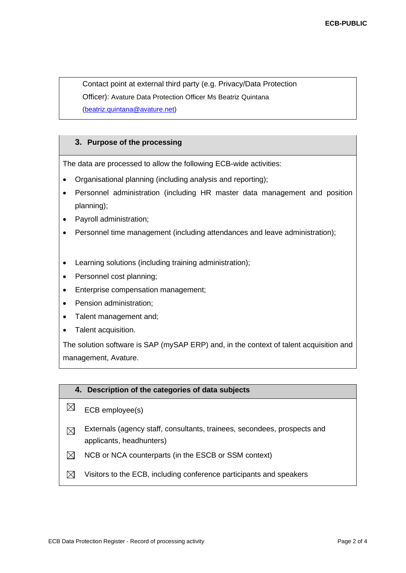Contact point at external third party (e.g. Privacy/Data Protection Officer): Avature Data Protection Officer Ms Beatriz Quintana [\(beatriz.quintana@avature.net\)](mailto:beatriz.quintana@avature.net)

#### **3. Purpose of the processing**

The data are processed to allow the following ECB-wide activities:

- Organisational planning (including analysis and reporting);
- Personnel administration (including HR master data management and position planning);
- Payroll administration;
- Personnel time management (including attendances and leave administration);
- Learning solutions (including training administration);
- Personnel cost planning;
- Enterprise compensation management;
- Pension administration;
- Talent management and;
- Talent acquisition.

The solution software is SAP (mySAP ERP) and, in the context of talent acquisition and management, Avature.

#### **4. Description of the categories of data subjects**

- $\boxtimes$ ECB employee(s)
- Externals (agency staff, consultants, trainees, secondees, prospects and  $\boxtimes$ applicants, headhunters)
- $\boxtimes$ NCB or NCA counterparts (in the ESCB or SSM context)
- $\boxtimes$  Visitors to the ECB, including conference participants and speakers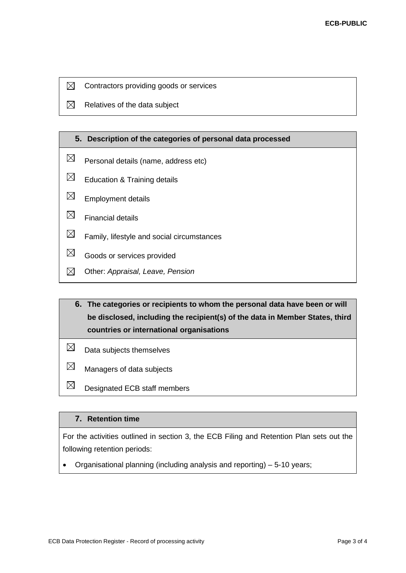- $\boxtimes$ Contractors providing goods or services
- $\boxtimes$ Relatives of the data subject

#### **5. Description of the categories of personal data processed**

- $\boxtimes$ Personal details (name, address etc)
- $\boxtimes$ Education & Training details
- $\boxtimes$ Employment details
- $\boxtimes$ Financial details
- $\boxtimes$ Family, lifestyle and social circumstances
- $\boxtimes$ Goods or services provided
- $\boxtimes$ Other: *Appraisal, Leave, Pension*

## **6. The categories or recipients to whom the personal data have been or will be disclosed, including the recipient(s) of the data in Member States, third countries or international organisations**

- $\boxtimes$ Data subjects themselves
- $\boxtimes$ Managers of data subjects
- $\boxtimes$ Designated ECB staff members

## **7. Retention time**

For the activities outlined in section 3, the ECB Filing and Retention Plan sets out the following retention periods:

• Organisational planning (including analysis and reporting) – 5-10 years;